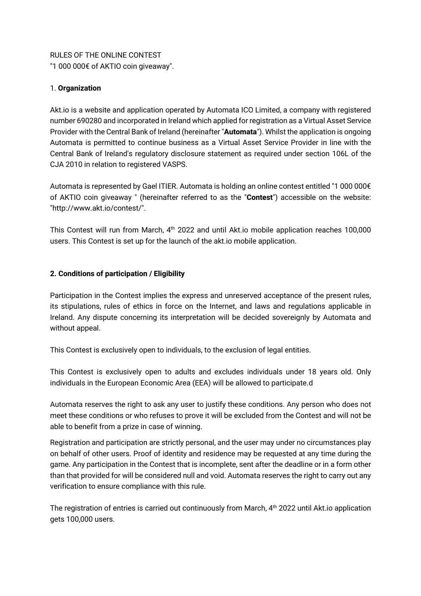RULES OF THE ONLINE CONTEST "1 000 000€ of AKTIO coin giveaway".

## 1. **Organization**

Akt.io is a website and application operated by Automata ICO Limited, a company with registered number 690280 and incorporated in Ireland which applied for registration as a Virtual Asset Service Provider with the Central Bank of Ireland (hereinafter "**Automata**"). Whilst the application is ongoing Automata is permitted to continue business as a Virtual Asset Service Provider in line with the Central Bank of Ireland's regulatory disclosure statement as required under section 106L of the CJA 2010 in relation to registered VASPS.

Automata is represented by Gael ITIER. Automata is holding an online contest entitled "1 000 000€ of AKTIO coin giveaway " (hereinafter referred to as the "**Contest**") accessible on the website: "http://www.akt.io/contest/".

This Contest will run from March, 4th 2022 and until Akt.io mobile application reaches 100,000 users. This Contest is set up for the launch of the akt.io mobile application.

## **2. Conditions of participation / Eligibility**

Participation in the Contest implies the express and unreserved acceptance of the present rules, its stipulations, rules of ethics in force on the Internet, and laws and regulations applicable in Ireland. Any dispute concerning its interpretation will be decided sovereignly by Automata and without appeal.

This Contest is exclusively open to individuals, to the exclusion of legal entities.

This Contest is exclusively open to adults and excludes individuals under 18 years old. Only individuals in the European Economic Area (EEA) will be allowed to participate.d

Automata reserves the right to ask any user to justify these conditions. Any person who does not meet these conditions or who refuses to prove it will be excluded from the Contest and will not be able to benefit from a prize in case of winning.

Registration and participation are strictly personal, and the user may under no circumstances play on behalf of other users. Proof of identity and residence may be requested at any time during the game. Any participation in the Contest that is incomplete, sent after the deadline or in a form other than that provided for will be considered null and void. Automata reserves the right to carry out any verification to ensure compliance with this rule.

The registration of entries is carried out continuously from March,  $4<sup>th</sup>$  2022 until Akt.io application gets 100,000 users.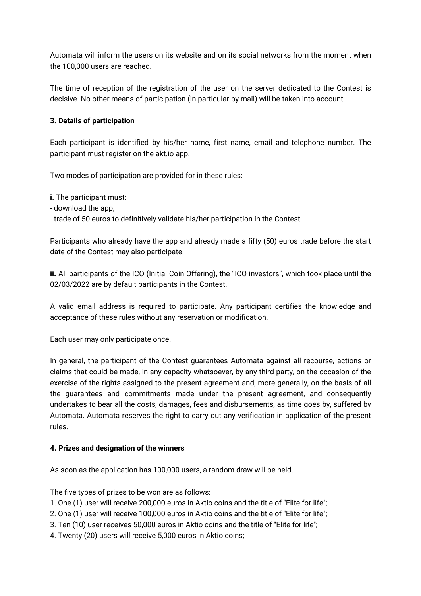Automata will inform the users on its website and on its social networks from the moment when the 100,000 users are reached.

The time of reception of the registration of the user on the server dedicated to the Contest is decisive. No other means of participation (in particular by mail) will be taken into account.

### **3. Details of participation**

Each participant is identified by his/her name, first name, email and telephone number. The participant must register on the akt.io app.

Two modes of participation are provided for in these rules:

**i.** The participant must:

- download the app;

- trade of 50 euros to definitively validate his/her participation in the Contest.

Participants who already have the app and already made a fifty (50) euros trade before the start date of the Contest may also participate.

**ii.** All participants of the ICO (Initial Coin Offering), the "ICO investors", which took place until the 02/03/2022 are by default participants in the Contest.

A valid email address is required to participate. Any participant certifies the knowledge and acceptance of these rules without any reservation or modification.

Each user may only participate once.

In general, the participant of the Contest guarantees Automata against all recourse, actions or claims that could be made, in any capacity whatsoever, by any third party, on the occasion of the exercise of the rights assigned to the present agreement and, more generally, on the basis of all the guarantees and commitments made under the present agreement, and consequently undertakes to bear all the costs, damages, fees and disbursements, as time goes by, suffered by Automata. Automata reserves the right to carry out any verification in application of the present rules.

#### **4. Prizes and designation of the winners**

As soon as the application has 100,000 users, a random draw will be held.

The five types of prizes to be won are as follows:

- 1. One (1) user will receive 200,000 euros in Aktio coins and the title of "Elite for life";
- 2. One (1) user will receive 100,000 euros in Aktio coins and the title of "Elite for life";
- 3. Ten (10) user receives 50,000 euros in Aktio coins and the title of "Elite for life";
- 4. Twenty (20) users will receive 5,000 euros in Aktio coins;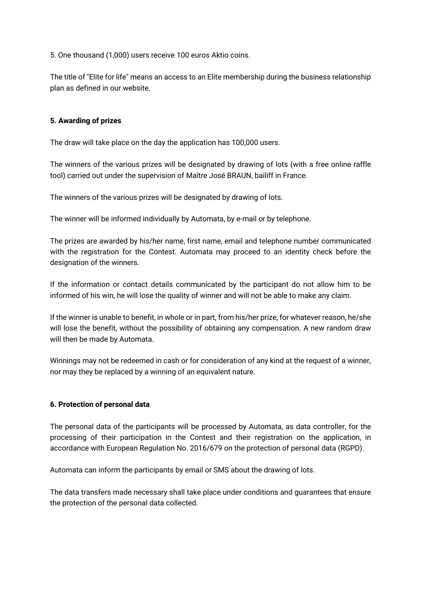5. One thousand (1,000) users receive 100 euros Aktio coins.

The title of "Elite for life" means an access to an Elite membership during the business relationship plan as defined in our website.

#### **5. Awarding of prizes**

The draw will take place on the day the application has 100,000 users.

The winners of the various prizes will be designated by drawing of lots (with a free online raffle tool) carried out under the supervision of Maître José BRAUN, bailiff in France.

The winners of the various prizes will be designated by drawing of lots.

The winner will be informed individually by Automata, by e-mail or by telephone.

The prizes are awarded by his/her name, first name, email and telephone number communicated with the registration for the Contest. Automata may proceed to an identity check before the designation of the winners.

If the information or contact details communicated by the participant do not allow him to be informed of his win, he will lose the quality of winner and will not be able to make any claim.

If the winner is unable to benefit, in whole or in part, from his/her prize, for whatever reason, he/she will lose the benefit, without the possibility of obtaining any compensation. A new random draw will then be made by Automata.

Winnings may not be redeemed in cash or for consideration of any kind at the request of a winner, nor may they be replaced by a winning of an equivalent nature.

#### **6. Protection of personal data**

The personal data of the participants will be processed by Automata, as data controller, for the processing of their participation in the Contest and their registration on the application, in accordance with European Regulation No. 2016/679 on the protection of personal data (RGPD).

Automata can inform the participants by email or SMS about the drawing of lots.

The data transfers made necessary shall take place under conditions and guarantees that ensure the protection of the personal data collected.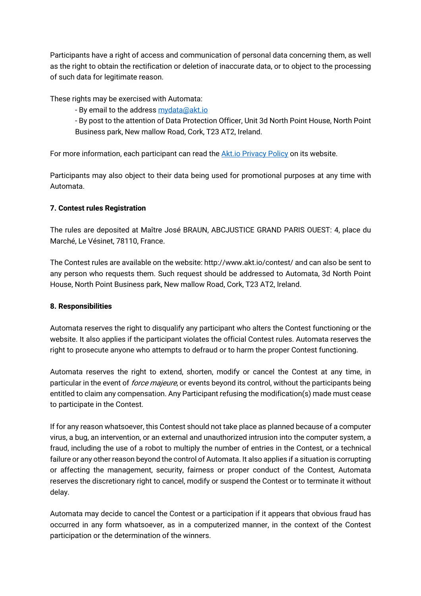Participants have a right of access and communication of personal data concerning them, as well as the right to obtain the rectification or deletion of inaccurate data, or to object to the processing of such data for legitimate reason.

These rights may be exercised with Automata:

- By email to the address mydata@akt.io

- By post to the attention of Data Protection Officer, Unit 3d North Point House, North Point Business park, New mallow Road, Cork, T23 AT2, Ireland.

For more information, each participant can read the Akt.io Privacy Policy on its website.

Participants may also object to their data being used for promotional purposes at any time with Automata.

## **7. Contest rules Registration**

The rules are deposited at Maître José BRAUN, ABCJUSTICE GRAND PARIS OUEST: 4, place du Marché, Le Vésinet, 78110, France.

The Contest rules are available on the website: http://www.akt.io/contest/ and can also be sent to any person who requests them. Such request should be addressed to Automata, 3d North Point House, North Point Business park, New mallow Road, Cork, T23 AT2, Ireland.

#### **8. Responsibilities**

Automata reserves the right to disqualify any participant who alters the Contest functioning or the website. It also applies if the participant violates the official Contest rules. Automata reserves the right to prosecute anyone who attempts to defraud or to harm the proper Contest functioning.

Automata reserves the right to extend, shorten, modify or cancel the Contest at any time, in particular in the event of *force majeure*, or events beyond its control, without the participants being entitled to claim any compensation. Any Participant refusing the modification(s) made must cease to participate in the Contest.

If for any reason whatsoever, this Contest should not take place as planned because of a computer virus, a bug, an intervention, or an external and unauthorized intrusion into the computer system, a fraud, including the use of a robot to multiply the number of entries in the Contest, or a technical failure or any other reason beyond the control of Automata. It also applies if a situation is corrupting or affecting the management, security, fairness or proper conduct of the Contest, Automata reserves the discretionary right to cancel, modify or suspend the Contest or to terminate it without delay.

Automata may decide to cancel the Contest or a participation if it appears that obvious fraud has occurred in any form whatsoever, as in a computerized manner, in the context of the Contest participation or the determination of the winners.